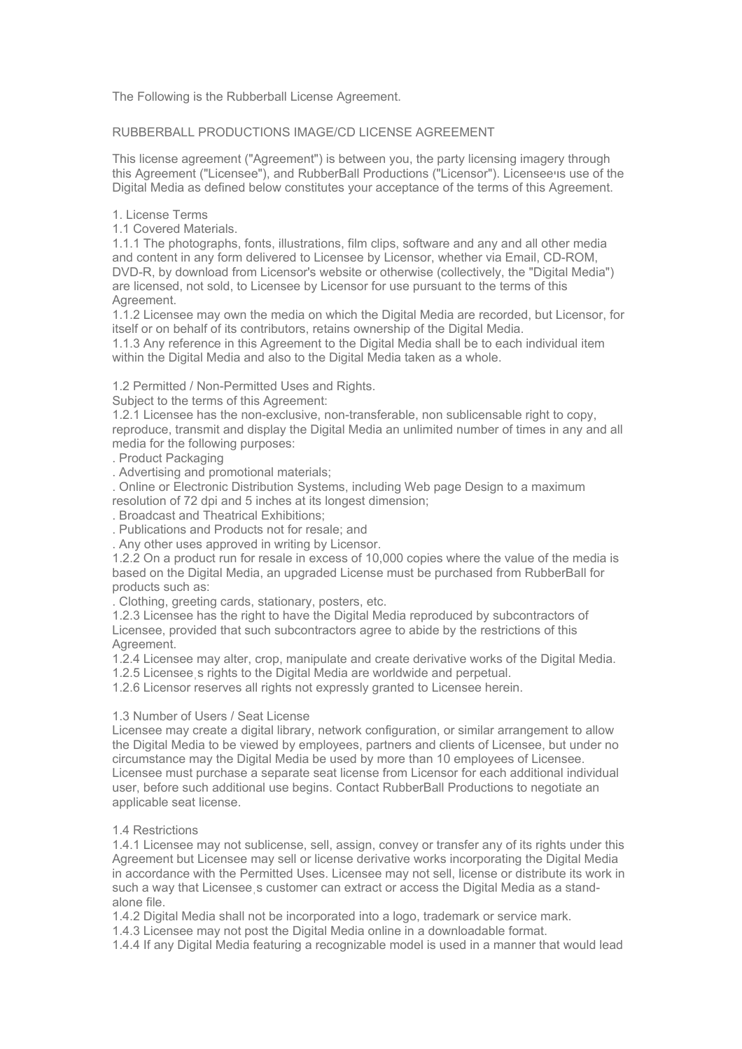The Following is the Rubberball License Agreement.

# RUBBERBALL PRODUCTIONS IMAGE/CD LICENSE AGREEMENT

This license agreement ("Agreement") is between you, the party licensing imagery through this Agreement ("Licensee"), and RubberBall Productions ("Licensor"). Licenseeױs use of the Digital Media as defined below constitutes your acceptance of the terms of this Agreement.

1. License Terms

1.1 Covered Materials.

1.1.1 The photographs, fonts, illustrations, film clips, software and any and all other media and content in any form delivered to Licensee by Licensor, whether via Email, CD-ROM, DVD-R, by download from Licensor's website or otherwise (collectively, the "Digital Media") are licensed, not sold, to Licensee by Licensor for use pursuant to the terms of this Agreement.

1.1.2 Licensee may own the media on which the Digital Media are recorded, but Licensor, for itself or on behalf of its contributors, retains ownership of the Digital Media.

1.1.3 Any reference in this Agreement to the Digital Media shall be to each individual item within the Digital Media and also to the Digital Media taken as a whole.

1.2 Permitted / Non-Permitted Uses and Rights.

Subject to the terms of this Agreement:

1.2.1 Licensee has the non-exclusive, non-transferable, non sublicensable right to copy, reproduce, transmit and display the Digital Media an unlimited number of times in any and all media for the following purposes:

. Product Packaging

. Advertising and promotional materials;

. Online or Electronic Distribution Systems, including Web page Design to a maximum resolution of 72 dpi and 5 inches at its longest dimension;

. Broadcast and Theatrical Exhibitions;

. Publications and Products not for resale; and

. Any other uses approved in writing by Licensor.

1.2.2 On a product run for resale in excess of 10,000 copies where the value of the media is based on the Digital Media, an upgraded License must be purchased from RubberBall for products such as:

. Clothing, greeting cards, stationary, posters, etc.

1.2.3 Licensee has the right to have the Digital Media reproduced by subcontractors of Licensee, provided that such subcontractors agree to abide by the restrictions of this Agreement.

1.2.4 Licensee may alter, crop, manipulate and create derivative works of the Digital Media.

1.2.5 Licenseeֽs rights to the Digital Media are worldwide and perpetual. 1.2.6 Licensor reserves all rights not expressly granted to Licensee herein.

# 1.3 Number of Users / Seat License

Licensee may create a digital library, network configuration, or similar arrangement to allow the Digital Media to be viewed by employees, partners and clients of Licensee, but under no circumstance may the Digital Media be used by more than 10 employees of Licensee. Licensee must purchase a separate seat license from Licensor for each additional individual user, before such additional use begins. Contact RubberBall Productions to negotiate an applicable seat license.

# 1.4 Restrictions

1.4.1 Licensee may not sublicense, sell, assign, convey or transfer any of its rights under this Agreement but Licensee may sell or license derivative works incorporating the Digital Media in accordance with the Permitted Uses. Licensee may not sell, license or distribute its work in such a way that Licensee s customer can extract or access the Digital Media as a standalone file.

1.4.2 Digital Media shall not be incorporated into a logo, trademark or service mark.

1.4.3 Licensee may not post the Digital Media online in a downloadable format.

1.4.4 If any Digital Media featuring a recognizable model is used in a manner that would lead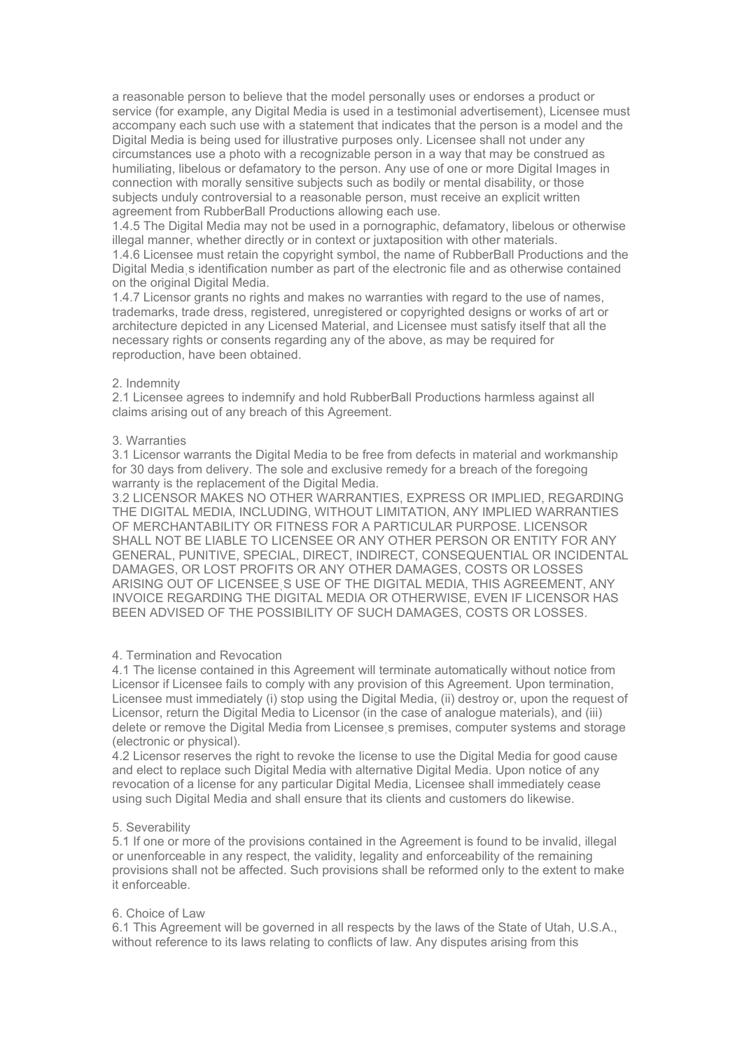a reasonable person to believe that the model personally uses or endorses a product or service (for example, any Digital Media is used in a testimonial advertisement), Licensee must accompany each such use with a statement that indicates that the person is a model and the Digital Media is being used for illustrative purposes only. Licensee shall not under any circumstances use a photo with a recognizable person in a way that may be construed as humiliating, libelous or defamatory to the person. Any use of one or more Digital Images in connection with morally sensitive subjects such as bodily or mental disability, or those subjects unduly controversial to a reasonable person, must receive an explicit written agreement from RubberBall Productions allowing each use.

1.4.5 The Digital Media may not be used in a pornographic, defamatory, libelous or otherwise illegal manner, whether directly or in context or juxtaposition with other materials.

1.4.6 Licensee must retain the copyright symbol, the name of RubberBall Productions and the Digital Mediaֽs identification number as part of the electronic file and as otherwise contained on the original Digital Media.

1.4.7 Licensor grants no rights and makes no warranties with regard to the use of names, trademarks, trade dress, registered, unregistered or copyrighted designs or works of art or architecture depicted in any Licensed Material, and Licensee must satisfy itself that all the necessary rights or consents regarding any of the above, as may be required for reproduction, have been obtained.

### 2. Indemnity

2.1 Licensee agrees to indemnify and hold RubberBall Productions harmless against all claims arising out of any breach of this Agreement.

### 3. Warranties

3.1 Licensor warrants the Digital Media to be free from defects in material and workmanship for 30 days from delivery. The sole and exclusive remedy for a breach of the foregoing warranty is the replacement of the Digital Media.

3.2 LICENSOR MAKES NO OTHER WARRANTIES, EXPRESS OR IMPLIED, REGARDING THE DIGITAL MEDIA, INCLUDING, WITHOUT LIMITATION, ANY IMPLIED WARRANTIES OF MERCHANTABILITY OR FITNESS FOR A PARTICULAR PURPOSE. LICENSOR SHALL NOT BE LIABLE TO LICENSEE OR ANY OTHER PERSON OR ENTITY FOR ANY GENERAL, PUNITIVE, SPECIAL, DIRECT, INDIRECT, CONSEQUENTIAL OR INCIDENTAL DAMAGES, OR LOST PROFITS OR ANY OTHER DAMAGES, COSTS OR LOSSES ARISING OUT OF LICENSEEֽS USE OF THE DIGITAL MEDIA, THIS AGREEMENT, ANY INVOICE REGARDING THE DIGITAL MEDIA OR OTHERWISE, EVEN IF LICENSOR HAS BEEN ADVISED OF THE POSSIBILITY OF SUCH DAMAGES, COSTS OR LOSSES.

## 4. Termination and Revocation

4.1 The license contained in this Agreement will terminate automatically without notice from Licensor if Licensee fails to comply with any provision of this Agreement. Upon termination, Licensee must immediately (i) stop using the Digital Media, (ii) destroy or, upon the request of Licensor, return the Digital Media to Licensor (in the case of analogue materials), and (iii) delete or remove the Digital Media from Licenseeֽs premises, computer systems and storage (electronic or physical).

4.2 Licensor reserves the right to revoke the license to use the Digital Media for good cause and elect to replace such Digital Media with alternative Digital Media. Upon notice of any revocation of a license for any particular Digital Media, Licensee shall immediately cease using such Digital Media and shall ensure that its clients and customers do likewise.

#### 5. Severability

5.1 If one or more of the provisions contained in the Agreement is found to be invalid, illegal or unenforceable in any respect, the validity, legality and enforceability of the remaining provisions shall not be affected. Such provisions shall be reformed only to the extent to make it enforceable.

#### 6. Choice of Law

6.1 This Agreement will be governed in all respects by the laws of the State of Utah, U.S.A., without reference to its laws relating to conflicts of law. Any disputes arising from this